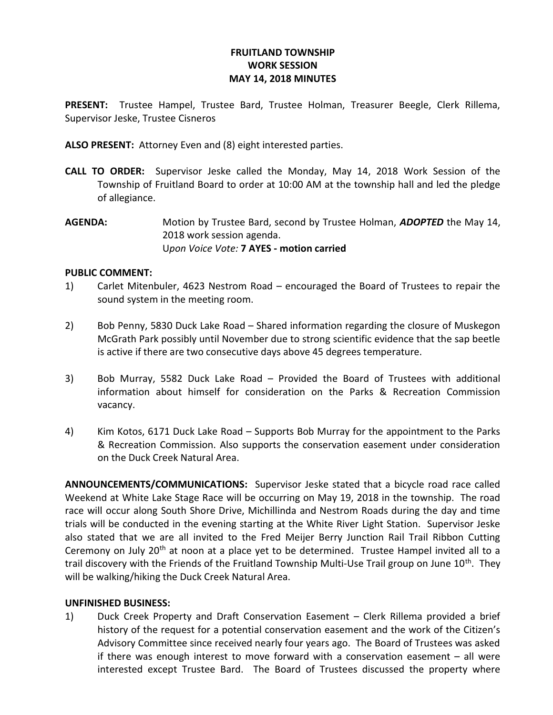# FRUITLAND TOWNSHIP WORK SESSION MAY 14, 2018 MINUTES

PRESENT: Trustee Hampel, Trustee Bard, Trustee Holman, Treasurer Beegle, Clerk Rillema, Supervisor Jeske, Trustee Cisneros

ALSO PRESENT: Attorney Even and (8) eight interested parties.

- CALL TO ORDER: Supervisor Jeske called the Monday, May 14, 2018 Work Session of the Township of Fruitland Board to order at 10:00 AM at the township hall and led the pledge of allegiance.
- AGENDA: Motion by Trustee Bard, second by Trustee Holman, ADOPTED the May 14, 2018 work session agenda. Upon Voice Vote: 7 AYES - motion carried

# PUBLIC COMMENT:

- 1) Carlet Mitenbuler, 4623 Nestrom Road encouraged the Board of Trustees to repair the sound system in the meeting room.
- 2) Bob Penny, 5830 Duck Lake Road Shared information regarding the closure of Muskegon McGrath Park possibly until November due to strong scientific evidence that the sap beetle is active if there are two consecutive days above 45 degrees temperature.
- 3) Bob Murray, 5582 Duck Lake Road Provided the Board of Trustees with additional information about himself for consideration on the Parks & Recreation Commission vacancy.
- 4) Kim Kotos, 6171 Duck Lake Road Supports Bob Murray for the appointment to the Parks & Recreation Commission. Also supports the conservation easement under consideration on the Duck Creek Natural Area.

ANNOUNCEMENTS/COMMUNICATIONS: Supervisor Jeske stated that a bicycle road race called Weekend at White Lake Stage Race will be occurring on May 19, 2018 in the township. The road race will occur along South Shore Drive, Michillinda and Nestrom Roads during the day and time trials will be conducted in the evening starting at the White River Light Station. Supervisor Jeske also stated that we are all invited to the Fred Meijer Berry Junction Rail Trail Ribbon Cutting Ceremony on July 20<sup>th</sup> at noon at a place yet to be determined. Trustee Hampel invited all to a trail discovery with the Friends of the Fruitland Township Multi-Use Trail group on June 10<sup>th</sup>. They will be walking/hiking the Duck Creek Natural Area.

### UNFINISHED BUSINESS:

1) Duck Creek Property and Draft Conservation Easement – Clerk Rillema provided a brief history of the request for a potential conservation easement and the work of the Citizen's Advisory Committee since received nearly four years ago. The Board of Trustees was asked if there was enough interest to move forward with a conservation easement – all were interested except Trustee Bard. The Board of Trustees discussed the property where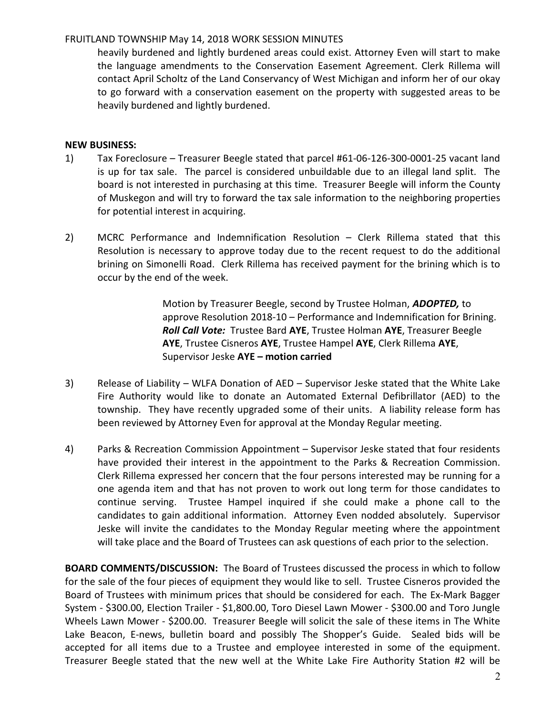# FRUITLAND TOWNSHIP May 14, 2018 WORK SESSION MINUTES

heavily burdened and lightly burdened areas could exist. Attorney Even will start to make the language amendments to the Conservation Easement Agreement. Clerk Rillema will contact April Scholtz of the Land Conservancy of West Michigan and inform her of our okay to go forward with a conservation easement on the property with suggested areas to be heavily burdened and lightly burdened.

# NEW BUSINESS:

- 1) Tax Foreclosure Treasurer Beegle stated that parcel #61-06-126-300-0001-25 vacant land is up for tax sale. The parcel is considered unbuildable due to an illegal land split. The board is not interested in purchasing at this time. Treasurer Beegle will inform the County of Muskegon and will try to forward the tax sale information to the neighboring properties for potential interest in acquiring.
- 2) MCRC Performance and Indemnification Resolution Clerk Rillema stated that this Resolution is necessary to approve today due to the recent request to do the additional brining on Simonelli Road. Clerk Rillema has received payment for the brining which is to occur by the end of the week.

 Motion by Treasurer Beegle, second by Trustee Holman, ADOPTED, to approve Resolution 2018-10 – Performance and Indemnification for Brining. Roll Call Vote: Trustee Bard AYE, Trustee Holman AYE, Treasurer Beegle AYE, Trustee Cisneros AYE, Trustee Hampel AYE, Clerk Rillema AYE, Supervisor Jeske AYE – motion carried

- 3) Release of Liability WLFA Donation of AED Supervisor Jeske stated that the White Lake Fire Authority would like to donate an Automated External Defibrillator (AED) to the township. They have recently upgraded some of their units. A liability release form has been reviewed by Attorney Even for approval at the Monday Regular meeting.
- 4) Parks & Recreation Commission Appointment Supervisor Jeske stated that four residents have provided their interest in the appointment to the Parks & Recreation Commission. Clerk Rillema expressed her concern that the four persons interested may be running for a one agenda item and that has not proven to work out long term for those candidates to continue serving. Trustee Hampel inquired if she could make a phone call to the candidates to gain additional information. Attorney Even nodded absolutely. Supervisor Jeske will invite the candidates to the Monday Regular meeting where the appointment will take place and the Board of Trustees can ask questions of each prior to the selection.

BOARD COMMENTS/DISCUSSION: The Board of Trustees discussed the process in which to follow for the sale of the four pieces of equipment they would like to sell. Trustee Cisneros provided the Board of Trustees with minimum prices that should be considered for each. The Ex-Mark Bagger System - \$300.00, Election Trailer - \$1,800.00, Toro Diesel Lawn Mower - \$300.00 and Toro Jungle Wheels Lawn Mower - \$200.00. Treasurer Beegle will solicit the sale of these items in The White Lake Beacon, E-news, bulletin board and possibly The Shopper's Guide. Sealed bids will be accepted for all items due to a Trustee and employee interested in some of the equipment. Treasurer Beegle stated that the new well at the White Lake Fire Authority Station #2 will be